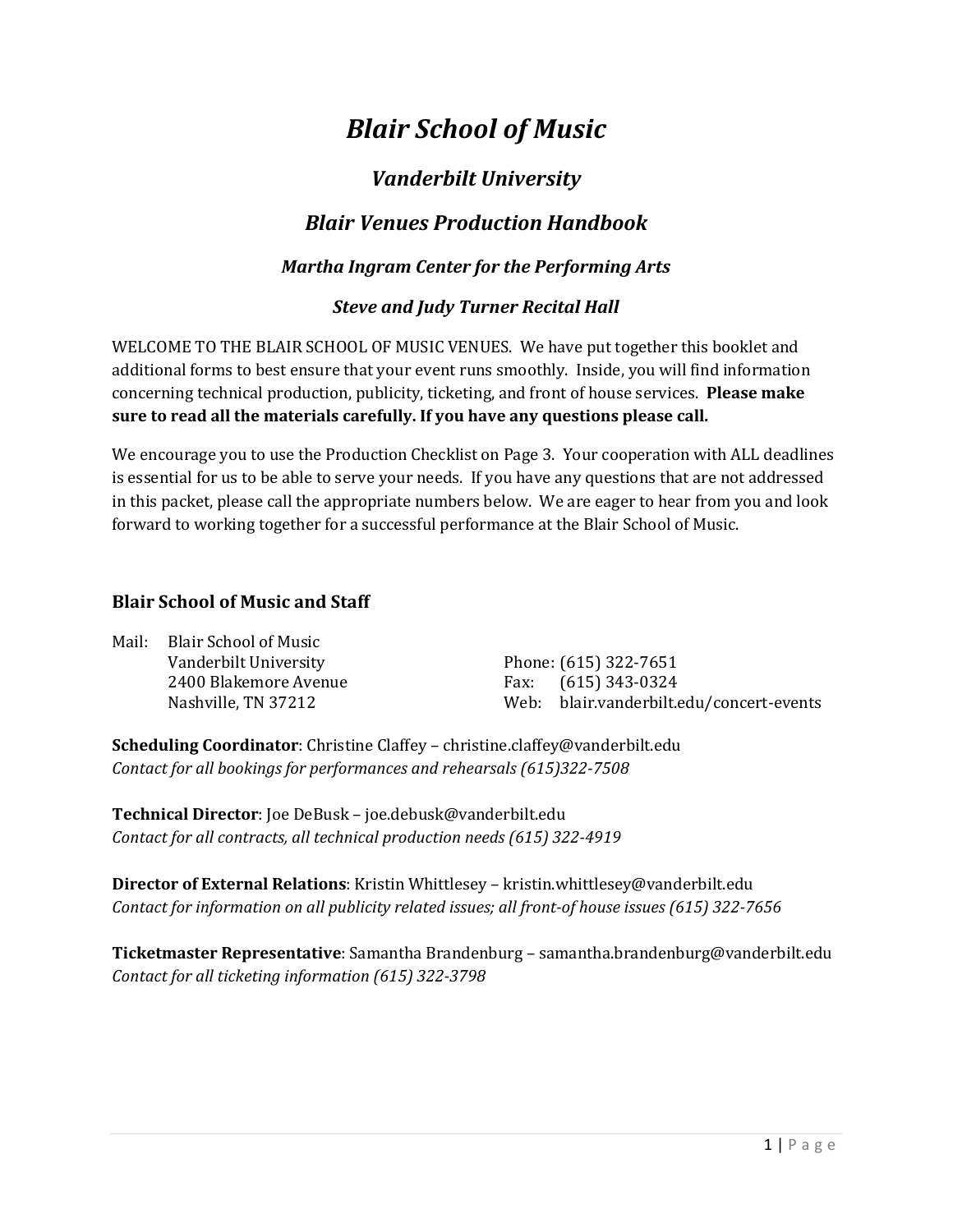# *Blair School of Music*

### *Vanderbilt University*

### *Blair Venues Production Handbook*

### *Martha Ingram Center for the Performing Arts*

#### *Steve and Judy Turner Recital Hall*

WELCOME TO THE BLAIR SCHOOL OF MUSIC VENUES. We have put together this booklet and additional forms to best ensure that your event runs smoothly. Inside, you will find information concerning technical production, publicity, ticketing, and front of house services. **Please make sure to read all the materials carefully. If you have any questions please call.**

We encourage you to use the Production Checklist on Page 3. Your cooperation with ALL deadlines is essential for us to be able to serve your needs. If you have any questions that are not addressed in this packet, please call the appropriate numbers below. We are eager to hear from you and look forward to working together for a successful performance at the Blair School of Music.

#### **Blair School of Music and Staff**

Mail: Blair School of Music Vanderbilt University 2400 Blakemore Avenue Nashville, TN 37212

Phone: (615) 322-7651<br>Fax: (615) 343-0324 Fax: (615) 343-0324 blair.vanderbilt.edu/concert-events

**Scheduling Coordinator**: Christine Claffey – christine.claffey@vanderbilt.edu *Contact for all bookings for performances and rehearsals (615)322-7508*

**Technical Director**: Joe DeBusk – joe.debusk@vanderbilt.edu *Contact for all contracts, all technical production needs (615) 322-4919*

**Director of External Relations**: Kristin Whittlesey – kristin.whittlesey@vanderbilt.edu *Contact for information on all publicity related issues; all front-of house issues (615) 322-7656*

**Ticketmaster Representative**: Samantha Brandenburg – samantha.brandenburg@vanderbilt.edu *Contact for all ticketing information (615) 322-3798*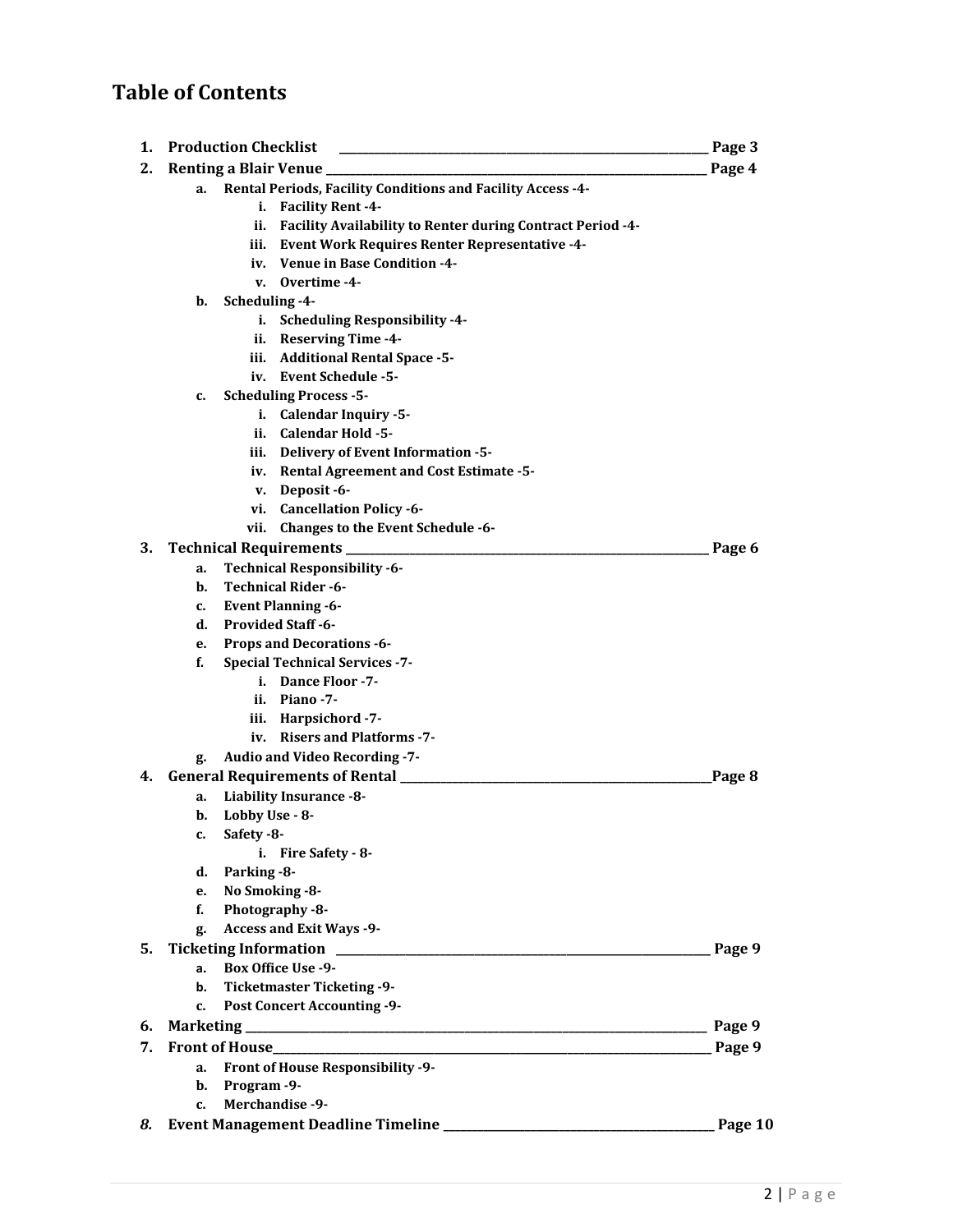## **Table of Contents**

| 1. | <b>Production Checklist</b>                                              | <sub>-</sub> Page 3 |
|----|--------------------------------------------------------------------------|---------------------|
| 2. |                                                                          | Page 4              |
|    | Rental Periods, Facility Conditions and Facility Access -4-<br>a.        |                     |
|    | <b>Facility Rent -4-</b><br>i.                                           |                     |
|    | <b>Facility Availability to Renter during Contract Period -4-</b><br>ii. |                     |
|    | <b>Event Work Requires Renter Representative -4-</b><br>iii.             |                     |
|    | <b>Venue in Base Condition -4-</b><br>iv.                                |                     |
|    | Overtime -4-<br>V.                                                       |                     |
|    | Scheduling -4-<br>b.                                                     |                     |
|    | <b>Scheduling Responsibility -4-</b><br>i.                               |                     |
|    | ii. Reserving Time -4-                                                   |                     |
|    | iii. Additional Rental Space -5-                                         |                     |
|    | iv. Event Schedule -5-                                                   |                     |
|    | <b>Scheduling Process -5-</b><br>c.                                      |                     |
|    | <b>Calendar Inquiry -5-</b><br>i.                                        |                     |
|    | ii. Calendar Hold -5-                                                    |                     |
|    | iii. Delivery of Event Information -5-                                   |                     |
|    | iv. Rental Agreement and Cost Estimate -5-                               |                     |
|    | v. Deposit-6-                                                            |                     |
|    | vi. Cancellation Policy -6-                                              |                     |
|    | Changes to the Event Schedule -6-<br>vii.                                |                     |
| 3. |                                                                          | Page 6              |
|    | <b>Technical Responsibility -6-</b><br>a.                                |                     |
|    | <b>Technical Rider -6-</b><br>b.                                         |                     |
|    | <b>Event Planning -6-</b><br>c.                                          |                     |
|    | <b>Provided Staff -6-</b><br>d.                                          |                     |
|    | <b>Props and Decorations -6-</b><br>e.                                   |                     |
|    | f.<br><b>Special Technical Services -7-</b>                              |                     |
|    | i. Dance Floor -7-                                                       |                     |
|    | ii. Piano - 7 -                                                          |                     |
|    | iii. Harpsichord -7-                                                     |                     |
|    | iv. Risers and Platforms -7-                                             |                     |
|    | Audio and Video Recording -7-<br>g.                                      |                     |
| 4. |                                                                          | Page 8              |
|    | Liability Insurance -8-<br>a.                                            |                     |
|    |                                                                          |                     |
|    | Lobby Use - 8-<br>b.                                                     |                     |
|    | c.<br>Safety -8-                                                         |                     |
|    | <b>Fire Safety - 8-</b><br>i.                                            |                     |
|    | d.<br>Parking -8-                                                        |                     |
|    | No Smoking -8-<br>e.                                                     |                     |
|    | f.<br>Photography -8-                                                    |                     |
|    | Access and Exit Ways -9-<br>g.                                           |                     |
| 5. | <b>Ticketing Information</b>                                             | Page 9              |
|    | Box Office Use -9-<br>a.                                                 |                     |
|    | Ticketmaster Ticketing -9-<br>b.                                         |                     |
|    | <b>Post Concert Accounting -9-</b><br>c.                                 |                     |
| 6. |                                                                          | Page 9              |
| 7. |                                                                          | Page 9              |
|    | <b>Front of House Responsibility -9-</b><br>a.                           |                     |
|    | b.<br>Program -9-                                                        |                     |
|    | <b>Merchandise -9-</b><br>C.                                             |                     |
| 8. | <b>Event Management Deadline Timeline</b> ___                            | Page 10             |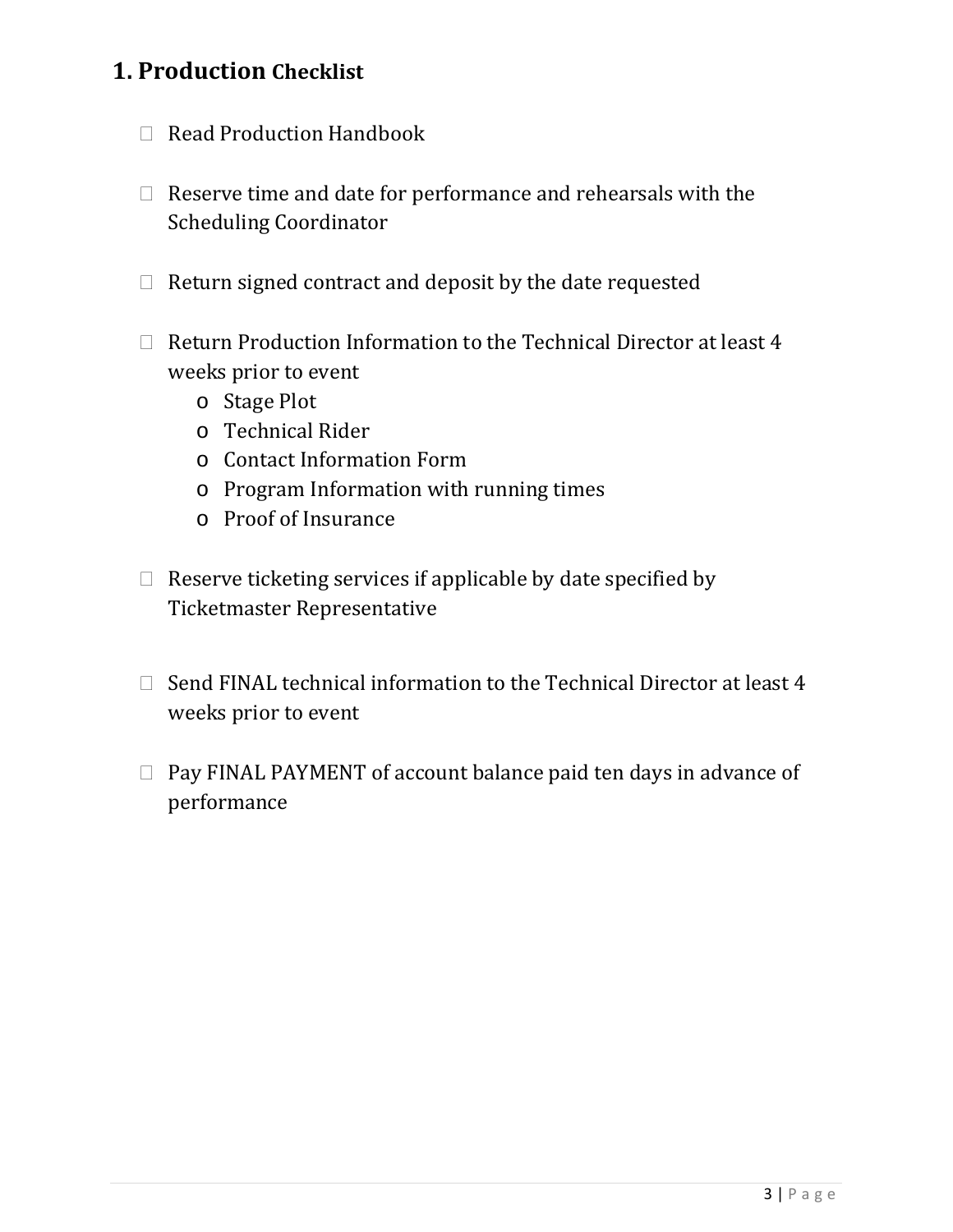## **1. Production Checklist**

- $\Box$  Read Production Handbook
- $\Box$  Reserve time and date for performance and rehearsals with the Scheduling Coordinator
- $\Box$  Return signed contract and deposit by the date requested
- $\Box$  Return Production Information to the Technical Director at least 4 weeks prior to event
	- o Stage Plot
	- o Technical Rider
	- o Contact Information Form
	- o Program Information with running times
	- o Proof of Insurance
- $\Box$  Reserve ticketing services if applicable by date specified by Ticketmaster Representative
- $\Box$  Send FINAL technical information to the Technical Director at least 4 weeks prior to event
- $\Box$  Pay FINAL PAYMENT of account balance paid ten days in advance of performance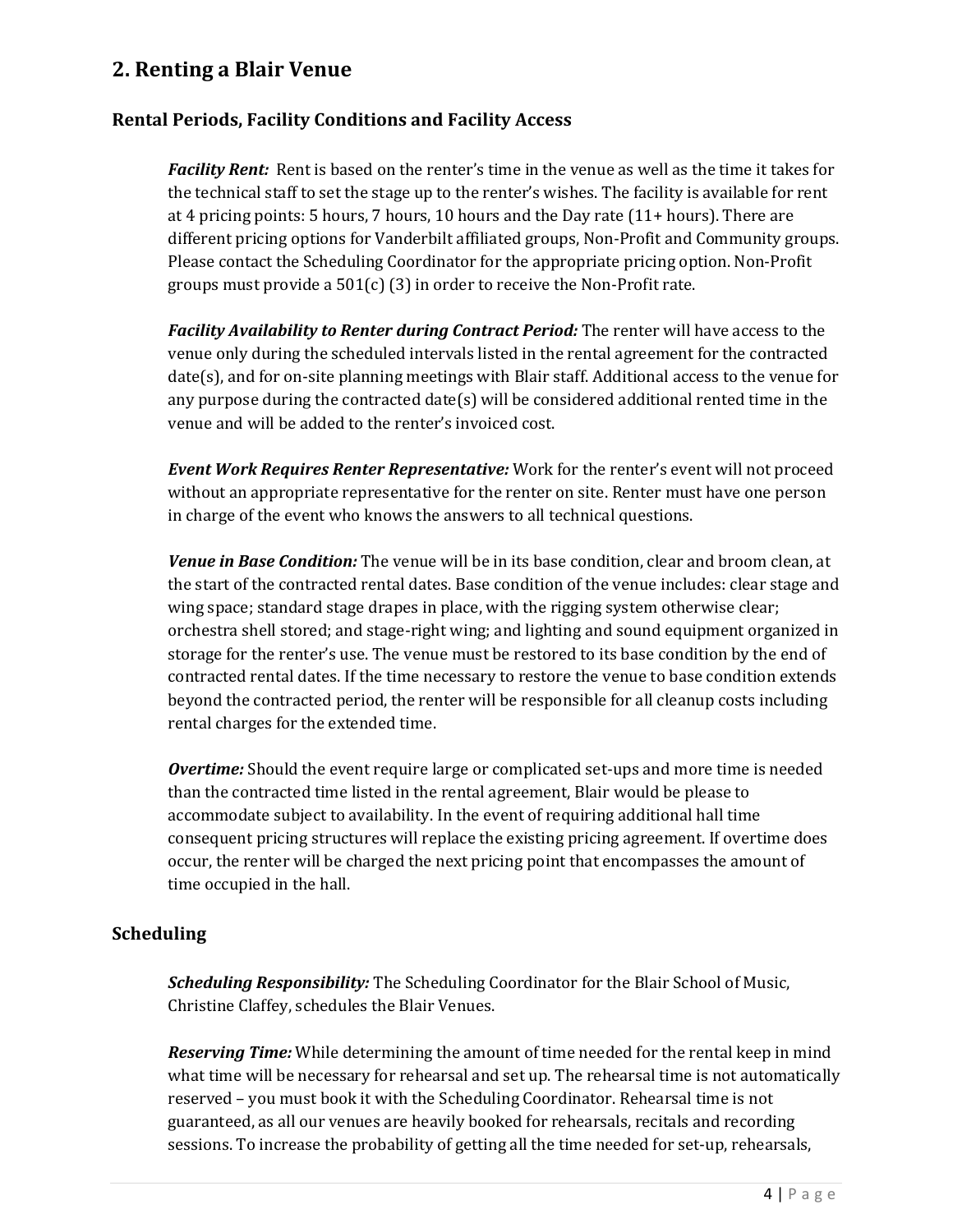### **2. Renting a Blair Venue**

#### **Rental Periods, Facility Conditions and Facility Access**

*Facility Rent:* Rent is based on the renter's time in the venue as well as the time it takes for the technical staff to set the stage up to the renter's wishes. The facility is available for rent at 4 pricing points: 5 hours, 7 hours, 10 hours and the Day rate (11+ hours). There are different pricing options for Vanderbilt affiliated groups, Non-Profit and Community groups. Please contact the Scheduling Coordinator for the appropriate pricing option. Non-Profit groups must provide a 501(c) (3) in order to receive the Non-Profit rate.

*Facility Availability to Renter during Contract Period:* The renter will have access to the venue only during the scheduled intervals listed in the rental agreement for the contracted date(s), and for on-site planning meetings with Blair staff. Additional access to the venue for any purpose during the contracted date(s) will be considered additional rented time in the venue and will be added to the renter's invoiced cost.

*Event Work Requires Renter Representative:* Work for the renter's event will not proceed without an appropriate representative for the renter on site. Renter must have one person in charge of the event who knows the answers to all technical questions.

*Venue in Base Condition:* The venue will be in its base condition, clear and broom clean, at the start of the contracted rental dates. Base condition of the venue includes: clear stage and wing space; standard stage drapes in place, with the rigging system otherwise clear; orchestra shell stored; and stage-right wing; and lighting and sound equipment organized in storage for the renter's use. The venue must be restored to its base condition by the end of contracted rental dates. If the time necessary to restore the venue to base condition extends beyond the contracted period, the renter will be responsible for all cleanup costs including rental charges for the extended time.

*Overtime:* Should the event require large or complicated set-ups and more time is needed than the contracted time listed in the rental agreement, Blair would be please to accommodate subject to availability. In the event of requiring additional hall time consequent pricing structures will replace the existing pricing agreement. If overtime does occur, the renter will be charged the next pricing point that encompasses the amount of time occupied in the hall.

#### **Scheduling**

*Scheduling Responsibility:* The Scheduling Coordinator for the Blair School of Music, Christine Claffey, schedules the Blair Venues.

*Reserving Time:* While determining the amount of time needed for the rental keep in mind what time will be necessary for rehearsal and set up. The rehearsal time is not automatically reserved – you must book it with the Scheduling Coordinator. Rehearsal time is not guaranteed, as all our venues are heavily booked for rehearsals, recitals and recording sessions. To increase the probability of getting all the time needed for set-up, rehearsals,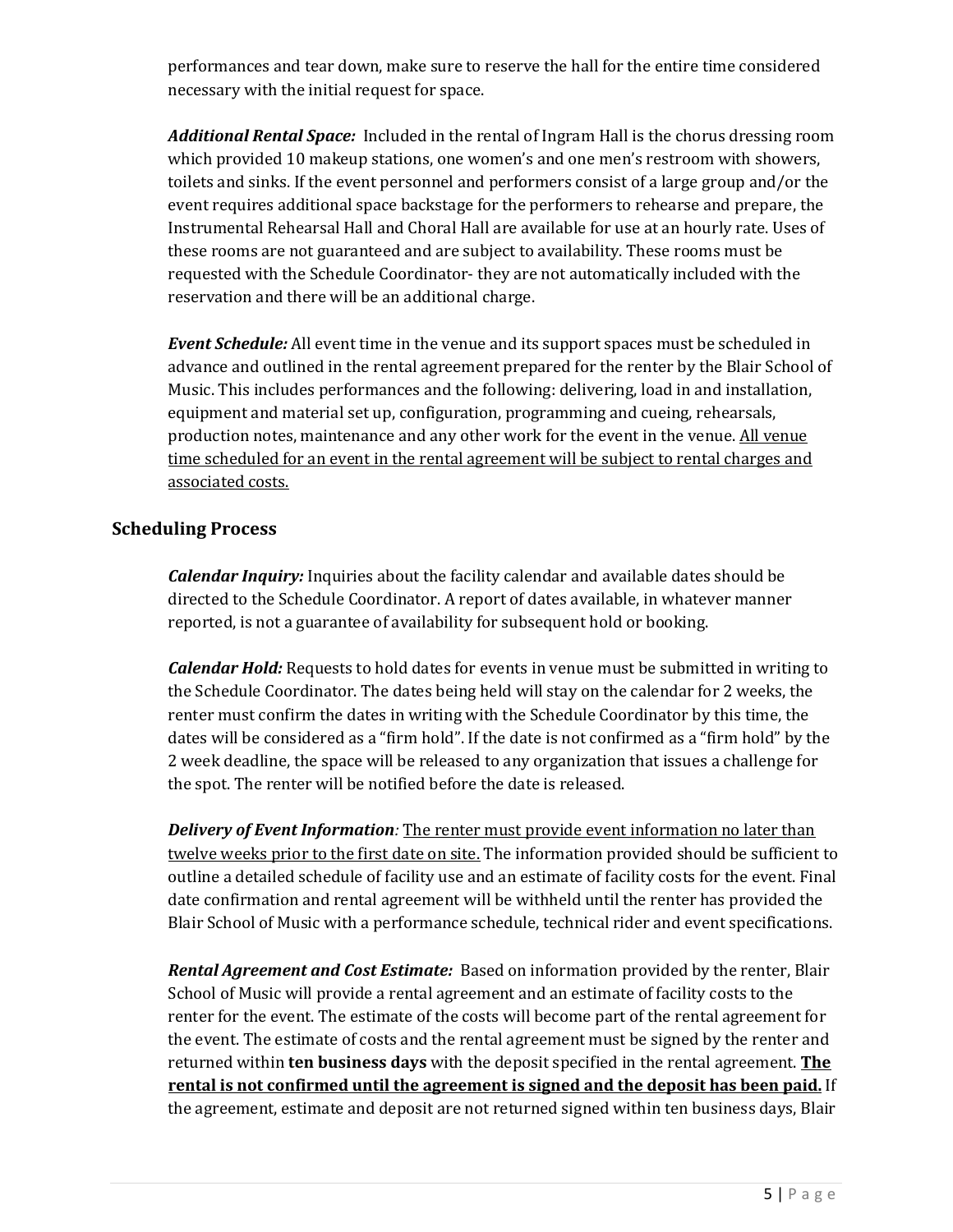performances and tear down, make sure to reserve the hall for the entire time considered necessary with the initial request for space.

*Additional Rental Space:* Included in the rental of Ingram Hall is the chorus dressing room which provided 10 makeup stations, one women's and one men's restroom with showers, toilets and sinks. If the event personnel and performers consist of a large group and/or the event requires additional space backstage for the performers to rehearse and prepare, the Instrumental Rehearsal Hall and Choral Hall are available for use at an hourly rate. Uses of these rooms are not guaranteed and are subject to availability. These rooms must be requested with the Schedule Coordinator- they are not automatically included with the reservation and there will be an additional charge.

*Event Schedule:* All event time in the venue and its support spaces must be scheduled in advance and outlined in the rental agreement prepared for the renter by the Blair School of Music. This includes performances and the following: delivering, load in and installation, equipment and material set up, configuration, programming and cueing, rehearsals, production notes, maintenance and any other work for the event in the venue. All venue time scheduled for an event in the rental agreement will be subject to rental charges and associated costs.

#### **Scheduling Process**

*Calendar Inquiry:* Inquiries about the facility calendar and available dates should be directed to the Schedule Coordinator. A report of dates available, in whatever manner reported, is not a guarantee of availability for subsequent hold or booking.

*Calendar Hold:* Requests to hold dates for events in venue must be submitted in writing to the Schedule Coordinator. The dates being held will stay on the calendar for 2 weeks, the renter must confirm the dates in writing with the Schedule Coordinator by this time, the dates will be considered as a "firm hold". If the date is not confirmed as a "firm hold" by the 2 week deadline, the space will be released to any organization that issues a challenge for the spot. The renter will be notified before the date is released.

*Delivery of Event Information:* The renter must provide event information no later than twelve weeks prior to the first date on site. The information provided should be sufficient to outline a detailed schedule of facility use and an estimate of facility costs for the event. Final date confirmation and rental agreement will be withheld until the renter has provided the Blair School of Music with a performance schedule, technical rider and event specifications.

*Rental Agreement and Cost Estimate:* Based on information provided by the renter, Blair School of Music will provide a rental agreement and an estimate of facility costs to the renter for the event. The estimate of the costs will become part of the rental agreement for the event. The estimate of costs and the rental agreement must be signed by the renter and returned within **ten business days** with the deposit specified in the rental agreement. **The rental is not confirmed until the agreement is signed and the deposit has been paid.** If the agreement, estimate and deposit are not returned signed within ten business days, Blair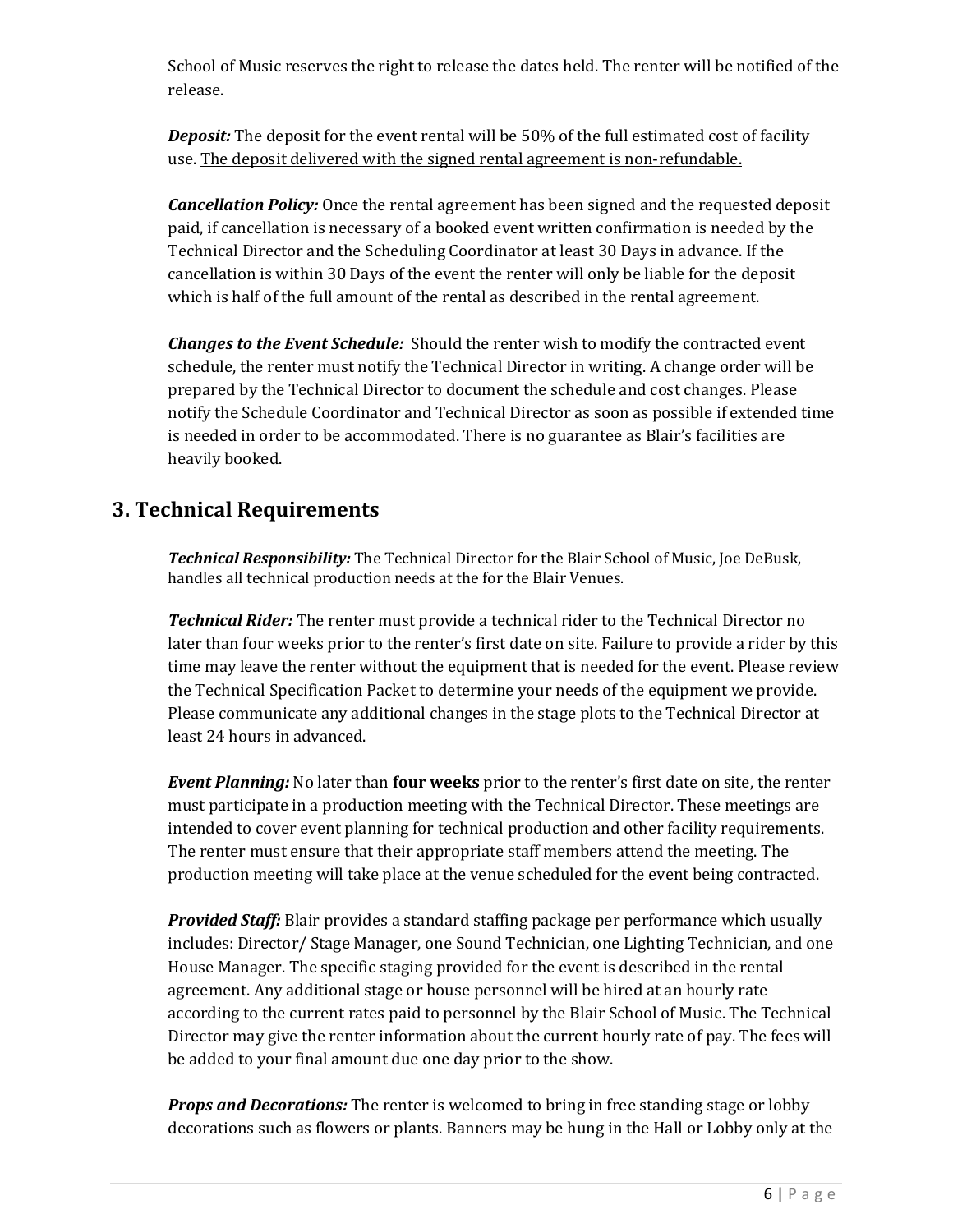School of Music reserves the right to release the dates held. The renter will be notified of the release.

**Deposit:** The deposit for the event rental will be 50% of the full estimated cost of facility use. The deposit delivered with the signed rental agreement is non-refundable.

*Cancellation Policy:* Once the rental agreement has been signed and the requested deposit paid, if cancellation is necessary of a booked event written confirmation is needed by the Technical Director and the Scheduling Coordinator at least 30 Days in advance. If the cancellation is within 30 Days of the event the renter will only be liable for the deposit which is half of the full amount of the rental as described in the rental agreement.

*Changes to the Event Schedule:* Should the renter wish to modify the contracted event schedule, the renter must notify the Technical Director in writing. A change order will be prepared by the Technical Director to document the schedule and cost changes. Please notify the Schedule Coordinator and Technical Director as soon as possible if extended time is needed in order to be accommodated. There is no guarantee as Blair's facilities are heavily booked.

### **3. Technical Requirements**

*Technical Responsibility:* The Technical Director for the Blair School of Music, Joe DeBusk, handles all technical production needs at the for the Blair Venues.

*Technical Rider:* The renter must provide a technical rider to the Technical Director no later than four weeks prior to the renter's first date on site. Failure to provide a rider by this time may leave the renter without the equipment that is needed for the event. Please review the Technical Specification Packet to determine your needs of the equipment we provide. Please communicate any additional changes in the stage plots to the Technical Director at least 24 hours in advanced.

*Event Planning:* No later than **four weeks** prior to the renter's first date on site, the renter must participate in a production meeting with the Technical Director. These meetings are intended to cover event planning for technical production and other facility requirements. The renter must ensure that their appropriate staff members attend the meeting. The production meeting will take place at the venue scheduled for the event being contracted.

*Provided Staff:* Blair provides a standard staffing package per performance which usually includes: Director/ Stage Manager, one Sound Technician, one Lighting Technician, and one House Manager. The specific staging provided for the event is described in the rental agreement. Any additional stage or house personnel will be hired at an hourly rate according to the current rates paid to personnel by the Blair School of Music. The Technical Director may give the renter information about the current hourly rate of pay. The fees will be added to your final amount due one day prior to the show.

*Props and Decorations:* The renter is welcomed to bring in free standing stage or lobby decorations such as flowers or plants. Banners may be hung in the Hall or Lobby only at the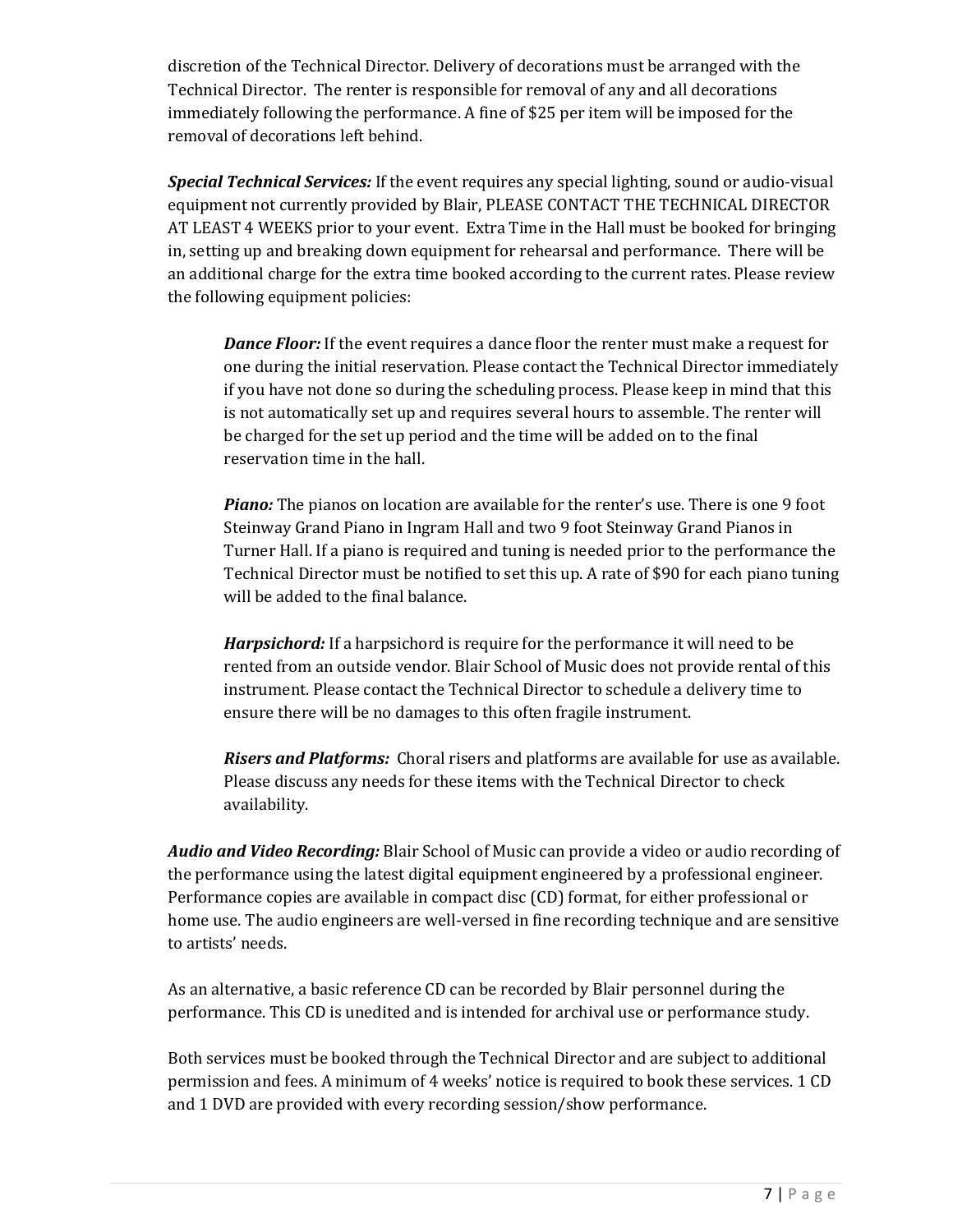discretion of the Technical Director. Delivery of decorations must be arranged with the Technical Director. The renter is responsible for removal of any and all decorations immediately following the performance. A fine of \$25 per item will be imposed for the removal of decorations left behind.

*Special Technical Services:* If the event requires any special lighting, sound or audio-visual equipment not currently provided by Blair, PLEASE CONTACT THE TECHNICAL DIRECTOR AT LEAST 4 WEEKS prior to your event. Extra Time in the Hall must be booked for bringing in, setting up and breaking down equipment for rehearsal and performance. There will be an additional charge for the extra time booked according to the current rates. Please review the following equipment policies:

*Dance Floor:* If the event requires a dance floor the renter must make a request for one during the initial reservation. Please contact the Technical Director immediately if you have not done so during the scheduling process. Please keep in mind that this is not automatically set up and requires several hours to assemble. The renter will be charged for the set up period and the time will be added on to the final reservation time in the hall.

*Piano:* The pianos on location are available for the renter's use. There is one 9 foot Steinway Grand Piano in Ingram Hall and two 9 foot Steinway Grand Pianos in Turner Hall. If a piano is required and tuning is needed prior to the performance the Technical Director must be notified to set this up. A rate of \$90 for each piano tuning will be added to the final balance.

*Harpsichord:* If a harpsichord is require for the performance it will need to be rented from an outside vendor. Blair School of Music does not provide rental of this instrument. Please contact the Technical Director to schedule a delivery time to ensure there will be no damages to this often fragile instrument.

*Risers and Platforms:* Choral risers and platforms are available for use as available. Please discuss any needs for these items with the Technical Director to check availability.

*Audio and Video Recording:* Blair School of Music can provide a video or audio recording of the performance using the latest digital equipment engineered by a professional engineer. Performance copies are available in compact disc (CD) format, for either professional or home use. The audio engineers are well-versed in fine recording technique and are sensitive to artists' needs.

As an alternative, a basic reference CD can be recorded by Blair personnel during the performance. This CD is unedited and is intended for archival use or performance study.

Both services must be booked through the Technical Director and are subject to additional permission and fees. A minimum of 4 weeks' notice is required to book these services. 1 CD and 1 DVD are provided with every recording session/show performance.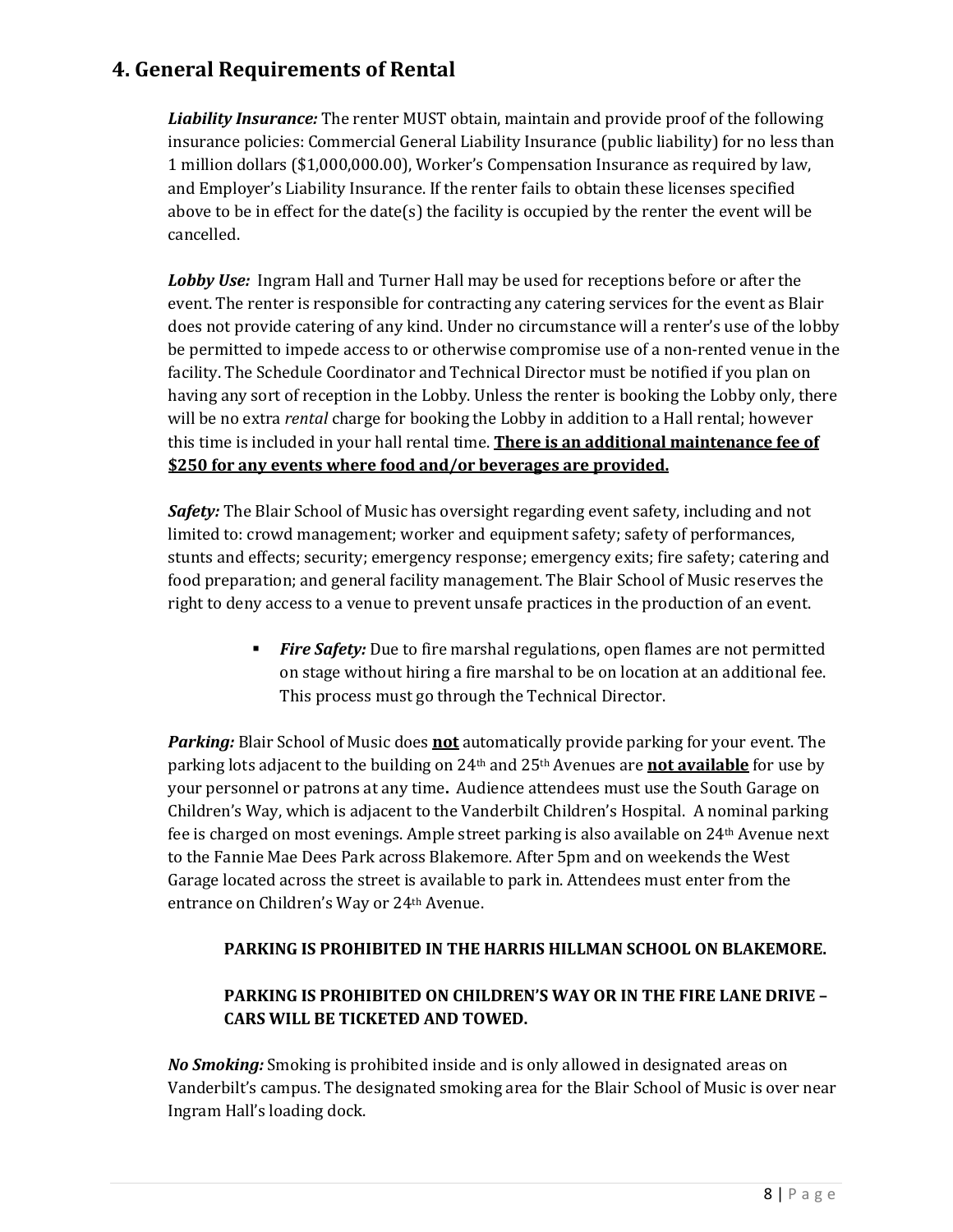### **4. General Requirements of Rental**

*Liability Insurance:* The renter MUST obtain, maintain and provide proof of the following insurance policies: Commercial General Liability Insurance (public liability) for no less than 1 million dollars (\$1,000,000.00), Worker's Compensation Insurance as required by law, and Employer's Liability Insurance. If the renter fails to obtain these licenses specified above to be in effect for the date(s) the facility is occupied by the renter the event will be cancelled.

*Lobby Use:* Ingram Hall and Turner Hall may be used for receptions before or after the event. The renter is responsible for contracting any catering services for the event as Blair does not provide catering of any kind. Under no circumstance will a renter's use of the lobby be permitted to impede access to or otherwise compromise use of a non-rented venue in the facility. The Schedule Coordinator and Technical Director must be notified if you plan on having any sort of reception in the Lobby. Unless the renter is booking the Lobby only, there will be no extra *rental* charge for booking the Lobby in addition to a Hall rental; however this time is included in your hall rental time. **There is an additional maintenance fee of \$250 for any events where food and/or beverages are provided.**

*Safety:* The Blair School of Music has oversight regarding event safety, including and not limited to: crowd management; worker and equipment safety; safety of performances, stunts and effects; security; emergency response; emergency exits; fire safety; catering and food preparation; and general facility management. The Blair School of Music reserves the right to deny access to a venue to prevent unsafe practices in the production of an event.

> **Fire Safety:** Due to fire marshal regulations, open flames are not permitted on stage without hiring a fire marshal to be on location at an additional fee. This process must go through the Technical Director.

*Parking:* Blair School of Music does **not** automatically provide parking for your event. The parking lots adjacent to the building on 24th and 25th Avenues are **not available** for use by your personnel or patrons at any time**.** Audience attendees must use the South Garage on Children's Way, which is adjacent to the Vanderbilt Children's Hospital. A nominal parking fee is charged on most evenings. Ample street parking is also available on 24th Avenue next to the Fannie Mae Dees Park across Blakemore. After 5pm and on weekends the West Garage located across the street is available to park in. Attendees must enter from the entrance on Children's Way or 24th Avenue.

#### **PARKING IS PROHIBITED IN THE HARRIS HILLMAN SCHOOL ON BLAKEMORE.**

### **PARKING IS PROHIBITED ON CHILDREN'S WAY OR IN THE FIRE LANE DRIVE – CARS WILL BE TICKETED AND TOWED.**

*No Smoking:* Smoking is prohibited inside and is only allowed in designated areas on Vanderbilt's campus. The designated smoking area for the Blair School of Music is over near Ingram Hall's loading dock.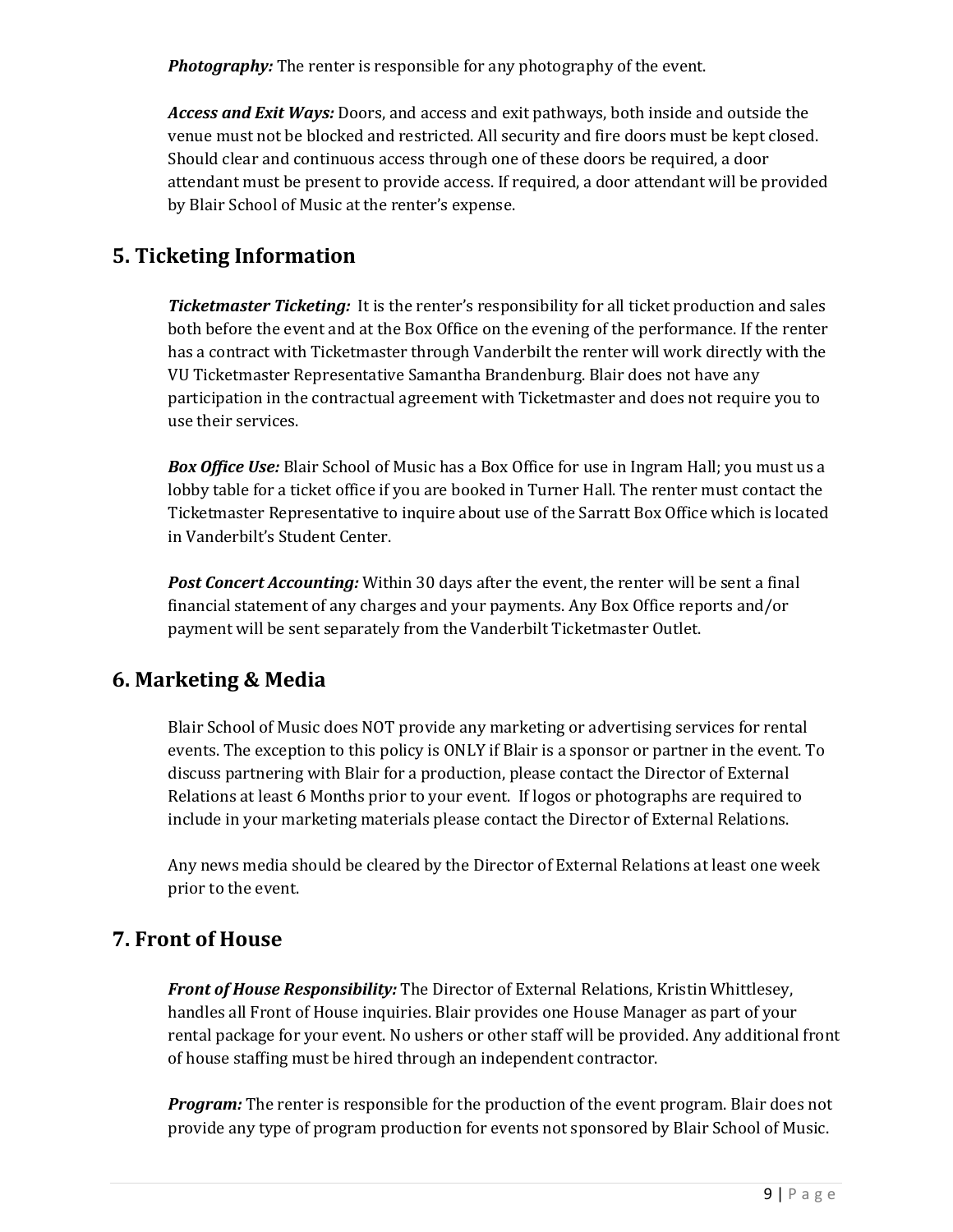**Photography:** The renter is responsible for any photography of the event.

*Access and Exit Ways:* Doors, and access and exit pathways, both inside and outside the venue must not be blocked and restricted. All security and fire doors must be kept closed. Should clear and continuous access through one of these doors be required, a door attendant must be present to provide access. If required, a door attendant will be provided by Blair School of Music at the renter's expense.

### **5. Ticketing Information**

**Ticketmaster Ticketing:** It is the renter's responsibility for all ticket production and sales both before the event and at the Box Office on the evening of the performance. If the renter has a contract with Ticketmaster through Vanderbilt the renter will work directly with the VU Ticketmaster Representative Samantha Brandenburg. Blair does not have any participation in the contractual agreement with Ticketmaster and does not require you to use their services.

*Box Office Use:* Blair School of Music has a Box Office for use in Ingram Hall; you must us a lobby table for a ticket office if you are booked in Turner Hall. The renter must contact the Ticketmaster Representative to inquire about use of the Sarratt Box Office which is located in Vanderbilt's Student Center.

**Post Concert Accounting:** Within 30 days after the event, the renter will be sent a final financial statement of any charges and your payments. Any Box Office reports and/or payment will be sent separately from the Vanderbilt Ticketmaster Outlet.

### **6. Marketing & Media**

Blair School of Music does NOT provide any marketing or advertising services for rental events. The exception to this policy is ONLY if Blair is a sponsor or partner in the event. To discuss partnering with Blair for a production, please contact the Director of External Relations at least 6 Months prior to your event. If logos or photographs are required to include in your marketing materials please contact the Director of External Relations.

Any news media should be cleared by the Director of External Relations at least one week prior to the event.

### **7. Front of House**

*Front of House Responsibility:* The Director of External Relations, Kristin Whittlesey, handles all Front of House inquiries. Blair provides one House Manager as part of your rental package for your event. No ushers or other staff will be provided. Any additional front of house staffing must be hired through an independent contractor.

*Program:* The renter is responsible for the production of the event program. Blair does not provide any type of program production for events not sponsored by Blair School of Music.